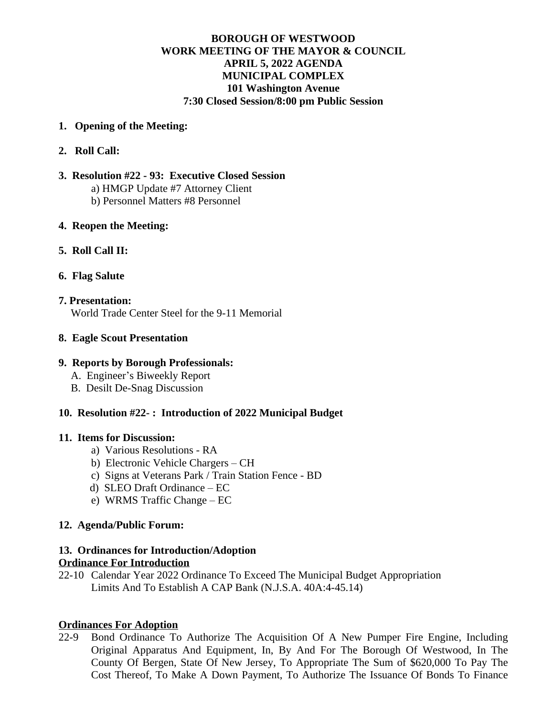# **BOROUGH OF WESTWOOD WORK MEETING OF THE MAYOR & COUNCIL APRIL 5, 2022 AGENDA MUNICIPAL COMPLEX 101 Washington Avenue 7:30 Closed Session/8:00 pm Public Session**

- **1. Opening of the Meeting:**
- **2. Roll Call:**
- **3. Resolution #22 93: Executive Closed Session** a) HMGP Update #7 Attorney Client b) Personnel Matters #8 Personnel
- **4. Reopen the Meeting:**
- **5. Roll Call II:**
- **6. Flag Salute**
- **7. Presentation:** World Trade Center Steel for the 9-11 Memorial
- **8. Eagle Scout Presentation**

### **9. Reports by Borough Professionals:**

- A. Engineer's Biweekly Report
- B. Desilt De-Snag Discussion

# **10. Resolution #22- : Introduction of 2022 Municipal Budget**

### **11. Items for Discussion:**

- a) Various Resolutions RA
- b) Electronic Vehicle Chargers CH
- c) Signs at Veterans Park / Train Station Fence BD
- d) SLEO Draft Ordinance EC
- e) WRMS Traffic Change EC

### **12. Agenda/Public Forum:**

# **13. Ordinances for Introduction/Adoption**

# **Ordinance For Introduction**

22-10 Calendar Year 2022 Ordinance To Exceed The Municipal Budget Appropriation Limits And To Establish A CAP Bank (N.J.S.A. 40A:4-45.14)

### **Ordinances For Adoption**

22-9 Bond Ordinance To Authorize The Acquisition Of A New Pumper Fire Engine, Including Original Apparatus And Equipment, In, By And For The Borough Of Westwood, In The County Of Bergen, State Of New Jersey, To Appropriate The Sum of \$620,000 To Pay The Cost Thereof, To Make A Down Payment, To Authorize The Issuance Of Bonds To Finance